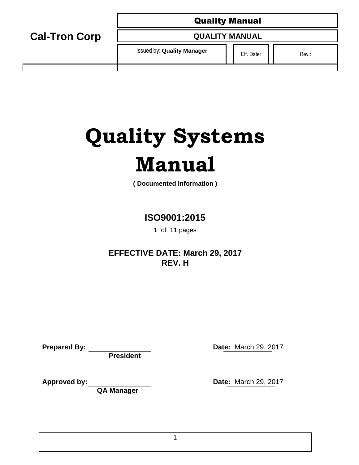**QUALITY MANUAL**

Issued by: **Quality Manager Eff. Date: Eff. Date:** Rev.:

# **Quality Systems Manual**

**( Documented Information )**

# **ISO9001:2015**

1 of 11 pages

# **EFFECTIVE DATE: March 29, 2017 REV. H**

| <b>Prepared By:</b> |  |
|---------------------|--|
|---------------------|--|

**Cal-Tron Corp**

**President**

**QA Manager** 

**Date: March 29, 2017** 

**Approved by: Date:** March 29, 2017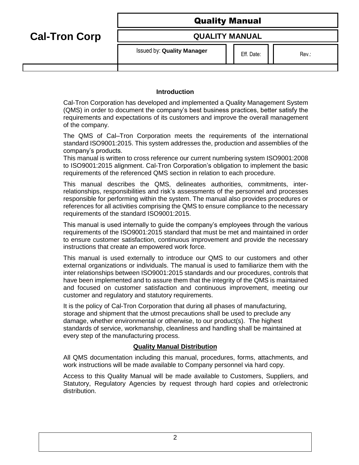**Cal-Tron Corp**

# **QUALITY MANUAL**

Issued by: **Quality Manager**  $\begin{array}{c|c} \hline \end{array}$  Eff. Date:  $\begin{array}{c|c} \hline \end{array}$  Rev.:

# **Introduction**

Cal-Tron Corporation has developed and implemented a Quality Management System (QMS) in order to document the company's best business practices, better satisfy the requirements and expectations of its customers and improve the overall management of the company.

The QMS of Cal–Tron Corporation meets the requirements of the international standard ISO9001:2015. This system addresses the, production and assemblies of the company's products.

This manual is written to cross reference our current numbering system ISO9001:2008 to ISO9001:2015 alignment. Cal-Tron Corporation's obligation to implement the basic requirements of the referenced QMS section in relation to each procedure.

This manual describes the QMS, delineates authorities, commitments, interrelationships, responsibilities and risk's assessments of the personnel and processes responsible for performing within the system. The manual also provides procedures or references for all activities comprising the QMS to ensure compliance to the necessary requirements of the standard ISO9001:2015.

This manual is used internally to guide the company's employees through the various requirements of the ISO9001:2015 standard that must be met and maintained in order to ensure customer satisfaction, continuous improvement and provide the necessary instructions that create an empowered work force.

This manual is used externally to introduce our QMS to our customers and other external organizations or individuals. The manual is used to familiarize them with the inter relationships between ISO9001:2015 standards and our procedures, controls that have been implemented and to assure them that the integrity of the QMS is maintained and focused on customer satisfaction and continuous improvement, meeting our customer and regulatory and statutory requirements.

It is the policy of Cal-Tron Corporation that during all phases of manufacturing, storage and shipment that the utmost precautions shall be used to preclude any damage, whether environmental or otherwise, to our product(s). The highest standards of service, workmanship, cleanliness and handling shall be maintained at every step of the manufacturing process.

# **Quality Manual Distribution**

All QMS documentation including this manual, procedures, forms, attachments, and work instructions will be made available to Company personnel via hard copy.

Access to this Quality Manual will be made available to Customers, Suppliers, and Statutory, Regulatory Agencies by request through hard copies and or/electronic distribution.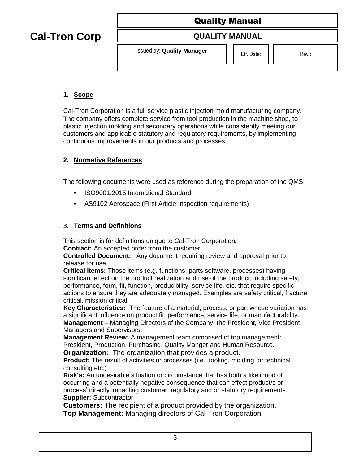# **QUALITY MANUAL**

Issued by: **Quality Manager**  $\begin{array}{c|c} \hline \end{array}$  Eff. Date:  $\begin{array}{c|c} \hline \end{array}$  Rev.:

# **1. Scope**

**Cal-Tron Corp**

Cal-Tron Corporation is a full service plastic injection mold manufacturing company. The company offers complete service from tool production in the machine shop, to plastic injection molding and secondary operations while consistently meeting our customers and applicable statutory and regulatory requirements, by implementing continuous improvements in our products and processes.

# **2. Normative References**

The following documents were used as reference during the preparation of the QMS:

- ISO9001:2015 International Standard
- AS9102 Aerospace (First Article Inspection requirements)

# **3. Terms and Definitions**

This section is for definitions unique to Cal-Tron Corporation. **Contract:** An accepted order from the customer.

**Controlled Document:** Any document requiring review and approval prior to release for use.

**Critical Items:** Those items (e.g. functions, parts software, processes) having significant effect on the product realization and use of the product; including safety, performance, form, fit, function, producibility, service life, etc. that require specific actions to ensure they are adequately managed. Examples are safety critical, fracture critical, mission critical.

**Key Characteristics:** The feature of a material, process, or part whose variation has a significant influence on product fit, performance, service life, or manufacturability. **Management** – Managing Directors of the Company, the President, Vice President, Managers and Supervisors.

**Management Review:** A management team comprised of top management: President, Production, Purchasing, Quality Manger and Human Resource.

**Organization:** The organization that provides a product.

**Product:** The result of activities or processes (i.e., tooling, molding, or technical consulting etc.)

**Risk's:** An undesirable situation or circumstance that has both a likelihood of occurring and a potentially negative consequence that can effect product/s or process' directly impacting customer, regulatory and or statutory requirements. **Supplier:** Subcontractor

**Customers:** The recipient of a product provided by the organization. **Top Management:** Managing directors of Cal-Tron Corporation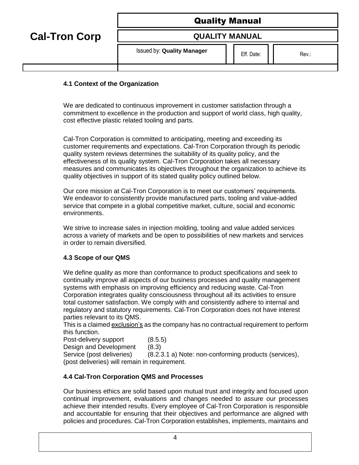| <b>Quality Manual</b> |  |
|-----------------------|--|
|-----------------------|--|

**Cal-Tron Corp**

# **QUALITY MANUAL**

Issued by: **Quality Manager**  $\begin{array}{c|c} \hline \end{array}$  Eff. Date:  $\begin{array}{c|c} \hline \end{array}$  Rev.:

# **4.1 Context of the Organization**

We are dedicated to continuous improvement in customer satisfaction through a commitment to excellence in the production and support of world class, high quality, cost effective plastic related tooling and parts.

Cal-Tron Corporation is committed to anticipating, meeting and exceeding its customer requirements and expectations. Cal-Tron Corporation through its periodic quality system reviews determines the suitability of its quality policy, and the effectiveness of its quality system. Cal-Tron Corporation takes all necessary measures and communicates its objectives throughout the organization to achieve its quality objectives in support of its stated quality policy outlined below.

Our core mission at Cal-Tron Corporation is to meet our customers' requirements. We endeavor to consistently provide manufactured parts, tooling and value-added service that compete in a global competitive market, culture, social and economic environments.

We strive to increase sales in injection molding, tooling and value added services across a variety of markets and be open to possibilities of new markets and services in order to remain diversified.

# **4.3 Scope of our QMS**

We define quality as more than conformance to product specifications and seek to continually improve all aspects of our business processes and quality management systems with emphasis on improving efficiency and reducing waste. Cal-Tron Corporation integrates quality consciousness throughout all its activities to ensure total customer satisfaction. We comply with and consistently adhere to internal and regulatory and statutory requirements. Cal-Tron Corporation does not have interest parties relevant to its QMS.

This is a claimed exclusion's as the company has no contractual requirement to perform this function.

Post-delivery support (8.5.5)

Design and Development (8.3)

Service (post deliveries) (8.2.3.1 a) Note: non-conforming products (services), (post deliveries) will remain in requirement.

# **4.4 Cal-Tron Corporation QMS and Processes**

Our business ethics are solid based upon mutual trust and integrity and focused upon continual improvement, evaluations and changes needed to assure our processes achieve their intended results. Every employee of Cal-Tron Corporation is responsible and accountable for ensuring that their objectives and performance are aligned with policies and procedures. Cal-Tron Corporation establishes, implements, maintains and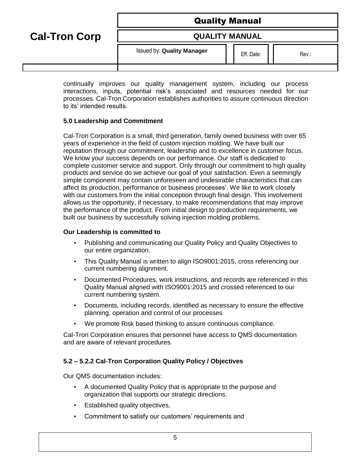**Cal-Tron Corp**

# **QUALITY MANUAL**

Issued by: **Quality Manager**  $\begin{array}{c|c} \hline \end{array}$  Eff. Date:  $\begin{array}{c|c} \hline \end{array}$  Rev.:

continually improves our quality management system, including our process interactions, inputs, potential risk's associated and resources needed for our processes. Cal-Tron Corporation establishes authorities to assure continuous direction to its' intended results.

# **5.0 Leadership and Commitment**

Cal-Tron Corporation is a small, third generation, family owned business with over 65 years of experience in the field of custom injection molding. We have built our reputation through our commitment, leadership and to excellence in customer focus. We know your success depends on our performance. Our staff is dedicated to complete customer service and support. Only through our commitment to high quality products and service do we achieve our goal of your satisfaction. Even a seemingly simple component may contain unforeseen and undesirable characteristics that can affect its production, performance or business processes'. We like to work closely with our customers from the initial conception through final design. This involvement allows us the opportunity, if necessary, to make recommendations that may improve the performance of the product. From initial design to production requirements, we built our business by successfully solving injection molding problems.

# **Our Leadership is committed to**

- Publishing and communicating our Quality Policy and Quality Objectives to our entire organization.
- This Quality Manual is written to align ISO9001:2015, cross referencing our current numbering alignment.
- Documented Procedures, work instructions, and records are referenced in this Quality Manual aligned with ISO9001:2015 and crossed referenced to our current numbering system.
- Documents, including records, identified as necessary to ensure the effective planning, operation and control of our processes
- We promote Risk based thinking to assure continuous compliance.

Cal-Tron Corporation ensures that personnel have access to QMS documentation and are aware of relevant procedures.

# **5.2 – 5.2.2 Cal-Tron Corporation Quality Policy / Objectives**

Our QMS documentation includes:

- A documented Quality Policy that is appropriate to the purpose and organization that supports our strategic directions.
- Established quality objectives,
- Commitment to satisfy our customers' requirements and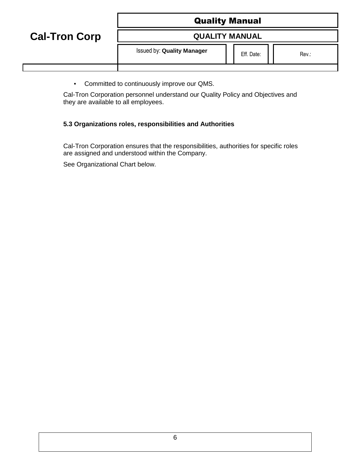**Cal-Tron Corp**

# **QUALITY MANUAL**

Issued by: **Quality Manager Eff. Date:** Rev.:

▪ Committed to continuously improve our QMS.

Cal-Tron Corporation personnel understand our Quality Policy and Objectives and they are available to all employees.

# **5.3 Organizations roles, responsibilities and Authorities**

Cal-Tron Corporation ensures that the responsibilities, authorities for specific roles are assigned and understood within the Company.

See Organizational Chart below.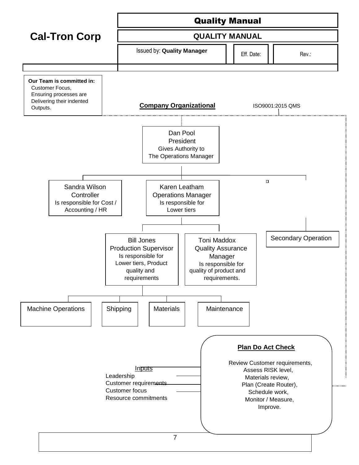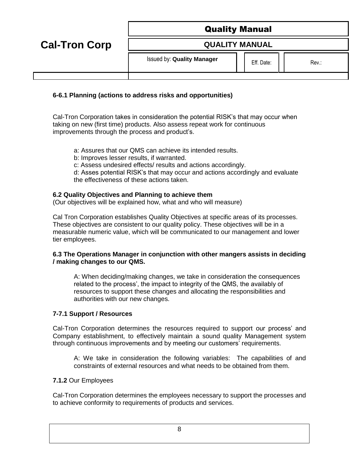**Cal-Tron Corp**

**QUALITY MANUAL**

Issued by: **Quality Manager**  $\begin{array}{c|c|c|c} & \phantom{\overline{a}} & \phantom{\overline{a}} & \phantom{\overline{a}} & \phantom{\overline{a}} & \phantom{\overline{a}} & \phantom{\overline{a}} & \phantom{\overline{a}} & \phantom{\overline{a}} & \phantom{\overline{a}} & \phantom{\overline{a}} & \phantom{\overline{a}} & \phantom{\overline{a}} & \phantom{\overline{a}} & \phantom{\overline{a}} & \phantom{\overline{a}} & \phantom{\overline{a}} & \phantom{\overline{a}} & \phantom{\overline{a$ 

# **6-6.1 Planning (actions to address risks and opportunities)**

Cal-Tron Corporation takes in consideration the potential RISK's that may occur when taking on new (first time) products. Also assess repeat work for continuous improvements through the process and product's.

- a: Assures that our QMS can achieve its intended results.
- b: Improves lesser results, if warranted.
- c: Assess undesired effects/ results and actions accordingly.

d: Asses potential RISK's that may occur and actions accordingly and evaluate the effectiveness of these actions taken.

# **6.2 Quality Objectives and Planning to achieve them**

(Our objectives will be explained how, what and who will measure)

Cal Tron Corporation establishes Quality Objectives at specific areas of its processes. These objectives are consistent to our quality policy. These objectives will be in a measurable numeric value, which will be communicated to our management and lower tier employees.

# **6.3 The Operations Manager in conjunction with other mangers assists in deciding / making changes to our QMS.**

A: When deciding/making changes, we take in consideration the consequences related to the process', the impact to integrity of the QMS, the availably of resources to support these changes and allocating the responsibilities and authorities with our new changes.

# **7-7.1 Support / Resources**

Cal-Tron Corporation determines the resources required to support our process' and Company establishment, to effectively maintain a sound quality Management system through continuous improvements and by meeting our customers' requirements.

A: We take in consideration the following variables: The capabilities of and constraints of external resources and what needs to be obtained from them.

# **7.1.2** Our Employees

Cal-Tron Corporation determines the employees necessary to support the processes and to achieve conformity to requirements of products and services.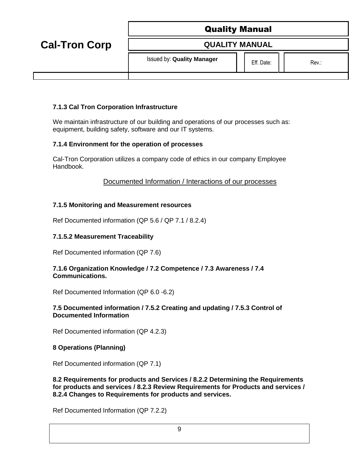|                      | <b>Quality Manual</b>             |            |       |
|----------------------|-----------------------------------|------------|-------|
| <b>Cal-Tron Corp</b> | <b>QUALITY MANUAL</b>             |            |       |
|                      | <b>Issued by: Quality Manager</b> | Eff. Date: | Rev.: |

# **7.1.3 Cal Tron Corporation Infrastructure**

We maintain infrastructure of our building and operations of our processes such as: equipment, building safety, software and our IT systems.

# **7.1.4 Environment for the operation of processes**

Cal-Tron Corporation utilizes a company code of ethics in our company Employee Handbook.

Documented Information / Interactions of our processes

### **7.1.5 Monitoring and Measurement resources**

Ref Documented information (QP 5.6 / QP 7.1 / 8.2.4)

## **7.1.5.2 Measurement Traceability**

Ref Documented information (QP 7.6)

#### **7.1.6 Organization Knowledge / 7.2 Competence / 7.3 Awareness / 7.4 Communications.**

Ref Documented Information (QP 6.0 -6.2)

### **7.5 Documented information / 7.5.2 Creating and updating / 7.5.3 Control of Documented Information**

Ref Documented information (QP 4.2.3)

# **8 Operations (Planning)**

Ref Documented information (QP 7.1)

**8.2 Requirements for products and Services / 8.2.2 Determining the Requirements for products and services / 8.2.3 Review Requirements for Products and services / 8.2.4 Changes to Requirements for products and services.**

Ref Documented Information (QP 7.2.2)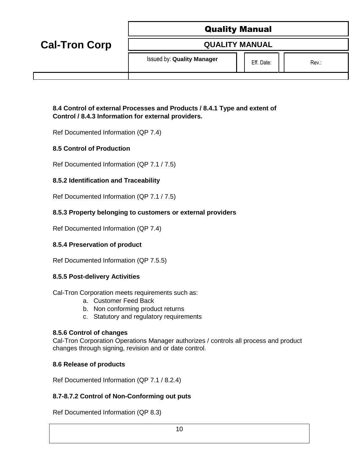|                      | <b>Quality Manual</b>             |  |            |       |
|----------------------|-----------------------------------|--|------------|-------|
| <b>Cal-Tron Corp</b> | <b>QUALITY MANUAL</b>             |  |            |       |
|                      | <b>Issued by: Quality Manager</b> |  | Eff. Date: | Rev.: |

## **8.4 Control of external Processes and Products / 8.4.1 Type and extent of Control / 8.4.3 Information for external providers.**

Ref Documented Information (QP 7.4)

### **8.5 Control of Production**

Ref Documented Information (QP 7.1 / 7.5)

### **8.5.2 Identification and Traceability**

Ref Documented Information (QP 7.1 / 7.5)

### **8.5.3 Property belonging to customers or external providers**

Ref Documented Information (QP 7.4)

#### **8.5.4 Preservation of product**

Ref Documented Information (QP 7.5.5)

#### **8.5.5 Post-delivery Activities**

Cal-Tron Corporation meets requirements such as:

- a. Customer Feed Back
- b. Non conforming product returns
- c. Statutory and regulatory requirements

#### **8.5.6 Control of changes**

Cal-Tron Corporation Operations Manager authorizes / controls all process and product changes through signing, revision and or date control.

#### **8.6 Release of products**

Ref Documented Information (QP 7.1 / 8.2.4)

#### **8.7-8.7.2 Control of Non-Conforming out puts**

Ref Documented Information (QP 8.3)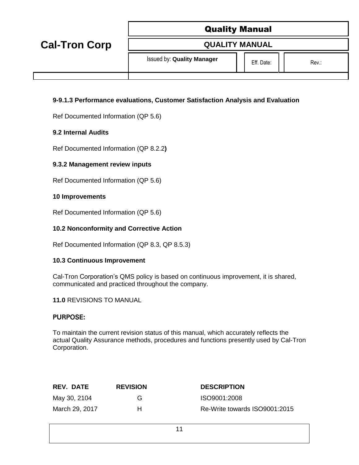| <b>Quality Manual</b> |  |
|-----------------------|--|
|-----------------------|--|

**QUALITY MANUAL**

**Cal-Tron Corp**

Issued by: **Quality Manager**  $\begin{array}{c|c|c|c} & \phantom{\overline{a}} & \phantom{\overline{a}} & \phantom{\overline{a}} & \phantom{\overline{a}} & \phantom{\overline{a}} & \phantom{\overline{a}} & \phantom{\overline{a}} & \phantom{\overline{a}} & \phantom{\overline{a}} & \phantom{\overline{a}} & \phantom{\overline{a}} & \phantom{\overline{a}} & \phantom{\overline{a}} & \phantom{\overline{a}} & \phantom{\overline{a}} & \phantom{\overline{a}} & \phantom{\overline{a}} & \phantom{\overline{a$ 

# **9-9.1.3 Performance evaluations, Customer Satisfaction Analysis and Evaluation**

Ref Documented Information (QP 5.6)

### **9.2 Internal Audits**

Ref Documented Information (QP 8.2.2**)**

# **9.3.2 Management review inputs**

Ref Documented Information (QP 5.6)

### **10 Improvements**

Ref Documented Information (QP 5.6)

### **10.2 Nonconformity and Corrective Action**

Ref Documented Information (QP 8.3, QP 8.5.3)

#### **10.3 Continuous Improvement**

Cal-Tron Corporation's QMS policy is based on continuous improvement, it is shared, communicated and practiced throughout the company.

#### **11.0** REVISIONS TO MANUAL

# **PURPOSE:**

To maintain the current revision status of this manual, which accurately reflects the actual Quality Assurance methods, procedures and functions presently used by Cal-Tron Corporation.

| <b>REV. DATE</b> | <b>REVISION</b> | <b>DESCRIPTION</b>            |
|------------------|-----------------|-------------------------------|
| May 30, 2104     | G               | ISO9001:2008                  |
| March 29, 2017   | н               | Re-Write towards ISO9001:2015 |